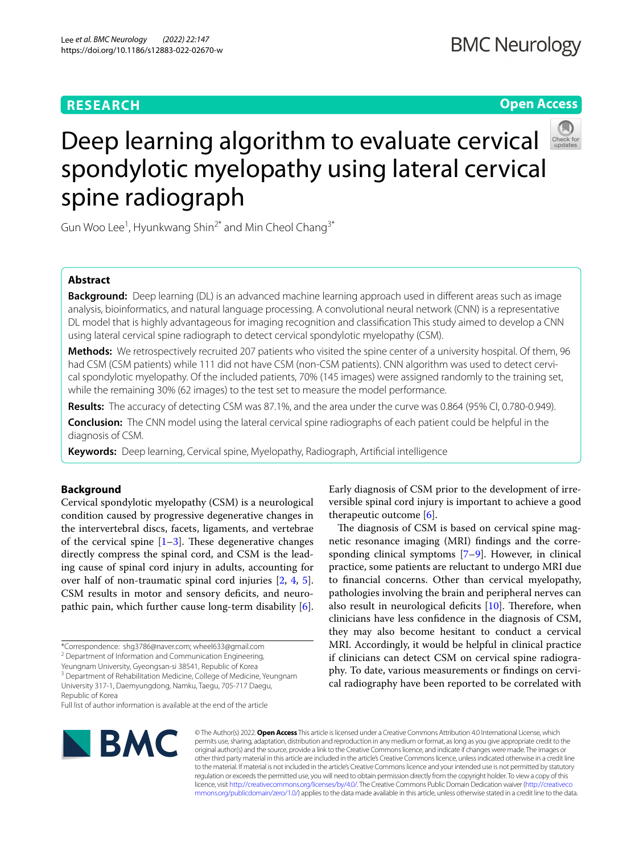# **RESEARCH**

# **Open Access**



# Deep learning algorithm to evaluate cervical spondylotic myelopathy using lateral cervical spine radiograph

Gun Woo Lee<sup>1</sup>, Hyunkwang Shin<sup>2\*</sup> and Min Cheol Chang<sup>3\*</sup>

# **Abstract**

**Background:** Deep learning (DL) is an advanced machine learning approach used in diferent areas such as image analysis, bioinformatics, and natural language processing. A convolutional neural network (CNN) is a representative DL model that is highly advantageous for imaging recognition and classifcation This study aimed to develop a CNN using lateral cervical spine radiograph to detect cervical spondylotic myelopathy (CSM).

**Methods:** We retrospectively recruited 207 patients who visited the spine center of a university hospital. Of them, 96 had CSM (CSM patients) while 111 did not have CSM (non-CSM patients). CNN algorithm was used to detect cervical spondylotic myelopathy. Of the included patients, 70% (145 images) were assigned randomly to the training set, while the remaining 30% (62 images) to the test set to measure the model performance.

**Results:** The accuracy of detecting CSM was 87.1%, and the area under the curve was 0.864 (95% CI, 0.780-0.949).

**Conclusion:** The CNN model using the lateral cervical spine radiographs of each patient could be helpful in the diagnosis of CSM.

**Keywords:** Deep learning, Cervical spine, Myelopathy, Radiograph, Artifcial intelligence

# **Background**

Cervical spondylotic myelopathy (CSM) is a neurological condition caused by progressive degenerative changes in the intervertebral discs, facets, ligaments, and vertebrae of the cervical spine  $[1-3]$  $[1-3]$  $[1-3]$ . These degenerative changes directly compress the spinal cord, and CSM is the leading cause of spinal cord injury in adults, accounting for over half of non-traumatic spinal cord injuries [[2,](#page-4-2) [4](#page-4-3), [5](#page-4-4)]. CSM results in motor and sensory deficits, and neuropathic pain, which further cause long-term disability [\[6](#page-4-5)].

Yeungnam University, Gyeongsan-si 38541, Republic of Korea

<sup>3</sup> Department of Rehabilitation Medicine, College of Medicine, Yeungnam University 317-1, Daemyungdong, Namku, Taegu, 705-717 Daegu, Republic of Korea

Full list of author information is available at the end of the article



versible spinal cord injury is important to achieve a good therapeutic outcome [\[6](#page-4-5)]. The diagnosis of CSM is based on cervical spine mag-

Early diagnosis of CSM prior to the development of irre-

netic resonance imaging (MRI) fndings and the corresponding clinical symptoms [\[7](#page-4-6)[–9](#page-4-7)]. However, in clinical practice, some patients are reluctant to undergo MRI due to fnancial concerns. Other than cervical myelopathy, pathologies involving the brain and peripheral nerves can also result in neurological deficits  $[10]$  $[10]$ . Therefore, when clinicians have less confdence in the diagnosis of CSM, they may also become hesitant to conduct a cervical MRI. Accordingly, it would be helpful in clinical practice if clinicians can detect CSM on cervical spine radiography. To date, various measurements or fndings on cervical radiography have been reported to be correlated with

© The Author(s) 2022. **Open Access** This article is licensed under a Creative Commons Attribution 4.0 International License, which permits use, sharing, adaptation, distribution and reproduction in any medium or format, as long as you give appropriate credit to the original author(s) and the source, provide a link to the Creative Commons licence, and indicate if changes were made. The images or other third party material in this article are included in the article's Creative Commons licence, unless indicated otherwise in a credit line to the material. If material is not included in the article's Creative Commons licence and your intended use is not permitted by statutory regulation or exceeds the permitted use, you will need to obtain permission directly from the copyright holder. To view a copy of this licence, visit [http://creativecommons.org/licenses/by/4.0/.](http://creativecommons.org/licenses/by/4.0/) The Creative Commons Public Domain Dedication waiver ([http://creativeco](http://creativecommons.org/publicdomain/zero/1.0/) [mmons.org/publicdomain/zero/1.0/](http://creativecommons.org/publicdomain/zero/1.0/)) applies to the data made available in this article, unless otherwise stated in a credit line to the data.

<sup>\*</sup>Correspondence: shg3786@naver.com; wheel633@gmail.com

<sup>&</sup>lt;sup>2</sup> Department of Information and Communication Engineering,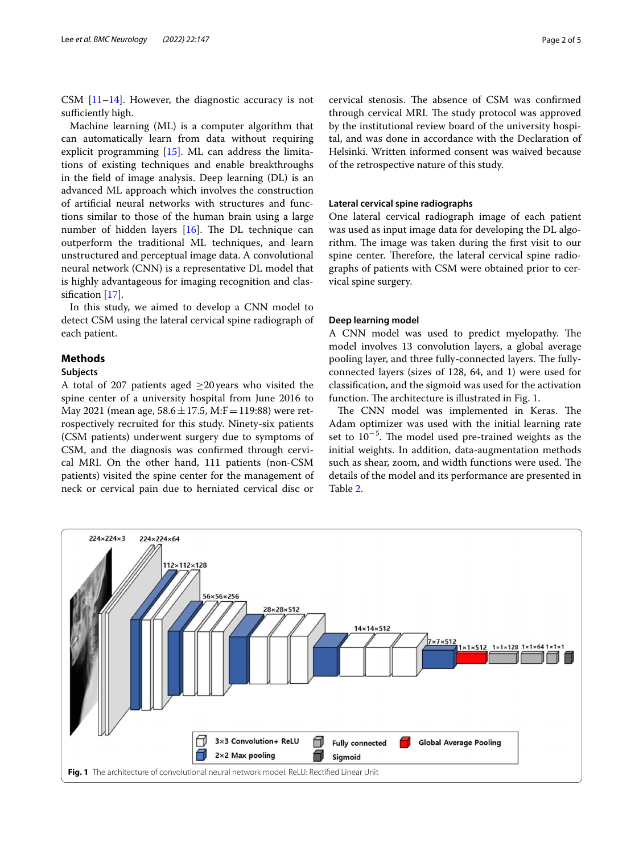CSM [[11–](#page-4-9)[14\]](#page-4-10). However, the diagnostic accuracy is not sufficiently high.

Machine learning (ML) is a computer algorithm that can automatically learn from data without requiring explicit programming [\[15](#page-4-11)]. ML can address the limitations of existing techniques and enable breakthroughs in the feld of image analysis. Deep learning (DL) is an advanced ML approach which involves the construction of artifcial neural networks with structures and functions similar to those of the human brain using a large number of hidden layers  $[16]$  $[16]$ . The DL technique can outperform the traditional ML techniques, and learn unstructured and perceptual image data. A convolutional neural network (CNN) is a representative DL model that is highly advantageous for imaging recognition and classifcation [\[17](#page-4-13)].

In this study, we aimed to develop a CNN model to detect CSM using the lateral cervical spine radiograph of each patient.

# **Methods**

## **Subjects**

A total of 207 patients aged  $\geq$ 20 years who visited the spine center of a university hospital from June 2016 to May 2021 (mean age,  $58.6 \pm 17.5$ , M:F = 119:88) were retrospectively recruited for this study. Ninety-six patients (CSM patients) underwent surgery due to symptoms of CSM, and the diagnosis was confrmed through cervical MRI. On the other hand, 111 patients (non-CSM patients) visited the spine center for the management of neck or cervical pain due to herniated cervical disc or cervical stenosis. The absence of CSM was confirmed through cervical MRI. The study protocol was approved by the institutional review board of the university hospital, and was done in accordance with the Declaration of Helsinki. Written informed consent was waived because of the retrospective nature of this study.

### **Lateral cervical spine radiographs**

One lateral cervical radiograph image of each patient was used as input image data for developing the DL algorithm. The image was taken during the first visit to our spine center. Therefore, the lateral cervical spine radiographs of patients with CSM were obtained prior to cervical spine surgery.

#### **Deep learning model**

A CNN model was used to predict myelopathy. The model involves 13 convolution layers, a global average pooling layer, and three fully-connected layers. The fullyconnected layers (sizes of 128, 64, and 1) were used for classifcation, and the sigmoid was used for the activation function. The architecture is illustrated in Fig. [1](#page-1-0).

The CNN model was implemented in Keras. The Adam optimizer was used with the initial learning rate set to  $10^{-5}$ . The model used pre-trained weights as the initial weights. In addition, data-augmentation methods such as shear, zoom, and width functions were used. The details of the model and its performance are presented in Table [2](#page-2-0).

<span id="page-1-0"></span>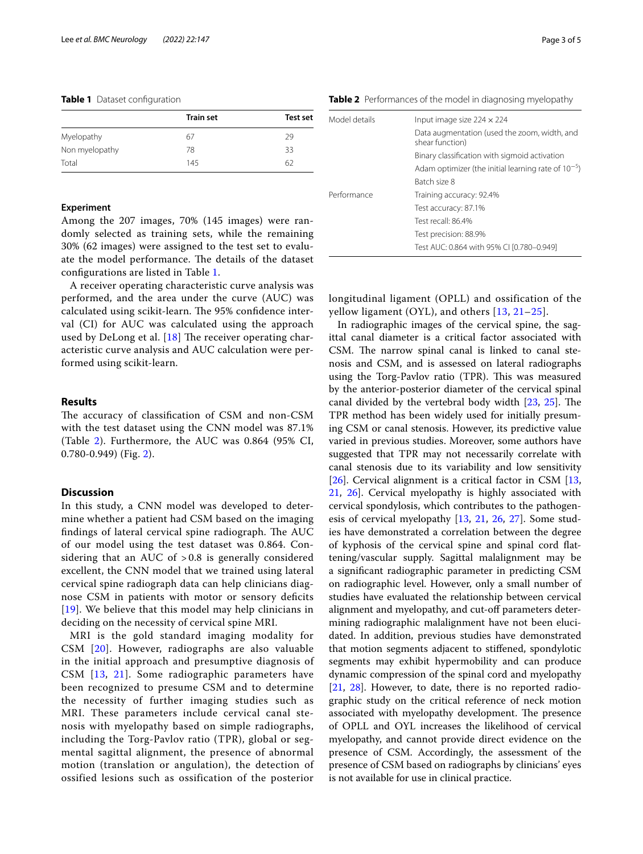|                | <b>Train set</b> | <b>Test set</b> |
|----------------|------------------|-----------------|
| Myelopathy     | 67               | 29              |
| Non myelopathy | 78               | 33              |
| Total          | 145              | 62              |

#### <span id="page-2-1"></span>**Table 1** Dataset configuration

#### **Experiment**

Among the 207 images, 70% (145 images) were randomly selected as training sets, while the remaining 30% (62 images) were assigned to the test set to evaluate the model performance. The details of the dataset confgurations are listed in Table [1.](#page-2-1)

A receiver operating characteristic curve analysis was performed, and the area under the curve (AUC) was calculated using scikit-learn. The 95% confidence interval (CI) for AUC was calculated using the approach used by DeLong et al.  $[18]$  $[18]$  The receiver operating characteristic curve analysis and AUC calculation were performed using scikit-learn.

# **Results**

The accuracy of classification of CSM and non-CSM with the test dataset using the CNN model was 87.1% (Table [2](#page-2-0)). Furthermore, the AUC was 0.864 (95% CI, 0.780-0.949) (Fig. [2\)](#page-3-0).

## **Discussion**

In this study, a CNN model was developed to determine whether a patient had CSM based on the imaging findings of lateral cervical spine radiograph. The AUC of our model using the test dataset was 0.864. Considering that an AUC of > 0.8 is generally considered excellent, the CNN model that we trained using lateral cervical spine radiograph data can help clinicians diagnose CSM in patients with motor or sensory deficits [[19](#page-4-15)]. We believe that this model may help clinicians in deciding on the necessity of cervical spine MRI.

MRI is the gold standard imaging modality for CSM [[20\]](#page-4-16). However, radiographs are also valuable in the initial approach and presumptive diagnosis of CSM [[13,](#page-4-17) [21\]](#page-4-18). Some radiographic parameters have been recognized to presume CSM and to determine the necessity of further imaging studies such as MRI. These parameters include cervical canal stenosis with myelopathy based on simple radiographs, including the Torg-Pavlov ratio (TPR), global or segmental sagittal alignment, the presence of abnormal motion (translation or angulation), the detection of ossified lesions such as ossification of the posterior

<span id="page-2-0"></span>**Table 2** Performances of the model in diagnosing myelopathy

| Model details | Input image size $224 \times 224$                               |
|---------------|-----------------------------------------------------------------|
|               | Data augmentation (used the zoom, width, and<br>shear function) |
|               | Binary classification with sigmoid activation                   |
|               | Adam optimizer (the initial learning rate of $10^{-5}$ )        |
|               | Batch size 8                                                    |
| Performance   | Training accuracy: 92.4%                                        |
|               | Test accuracy: 87.1%                                            |
|               | Test recall: 86.4%                                              |
|               | Test precision: 88.9%                                           |
|               | Test AUC: 0.864 with 95% CI [0.780-0.949]                       |

longitudinal ligament (OPLL) and ossification of the yellow ligament (OYL), and others [[13](#page-4-17), [21–](#page-4-18)[25\]](#page-4-19).

In radiographic images of the cervical spine, the sagittal canal diameter is a critical factor associated with CSM. The narrow spinal canal is linked to canal stenosis and CSM, and is assessed on lateral radiographs using the Torg-Pavlov ratio (TPR). This was measured by the anterior-posterior diameter of the cervical spinal canal divided by the vertebral body width  $[23, 25]$  $[23, 25]$  $[23, 25]$  $[23, 25]$ . The TPR method has been widely used for initially presuming CSM or canal stenosis. However, its predictive value varied in previous studies. Moreover, some authors have suggested that TPR may not necessarily correlate with canal stenosis due to its variability and low sensitivity [[26\]](#page-4-21). Cervical alignment is a critical factor in CSM  $[13, 13]$  $[13, 13]$  $[13, 13]$ [21,](#page-4-18) [26](#page-4-21)]. Cervical myelopathy is highly associated with cervical spondylosis, which contributes to the pathogenesis of cervical myelopathy [[13](#page-4-17), [21](#page-4-18), [26,](#page-4-21) [27\]](#page-4-22). Some studies have demonstrated a correlation between the degree of kyphosis of the cervical spine and spinal cord fattening/vascular supply. Sagittal malalignment may be a signifcant radiographic parameter in predicting CSM on radiographic level. However, only a small number of studies have evaluated the relationship between cervical alignment and myelopathy, and cut-off parameters determining radiographic malalignment have not been elucidated. In addition, previous studies have demonstrated that motion segments adjacent to stifened, spondylotic segments may exhibit hypermobility and can produce dynamic compression of the spinal cord and myelopathy [[21,](#page-4-18) [28](#page-4-23)]. However, to date, there is no reported radiographic study on the critical reference of neck motion associated with myelopathy development. The presence of OPLL and OYL increases the likelihood of cervical myelopathy, and cannot provide direct evidence on the presence of CSM. Accordingly, the assessment of the presence of CSM based on radiographs by clinicians' eyes is not available for use in clinical practice.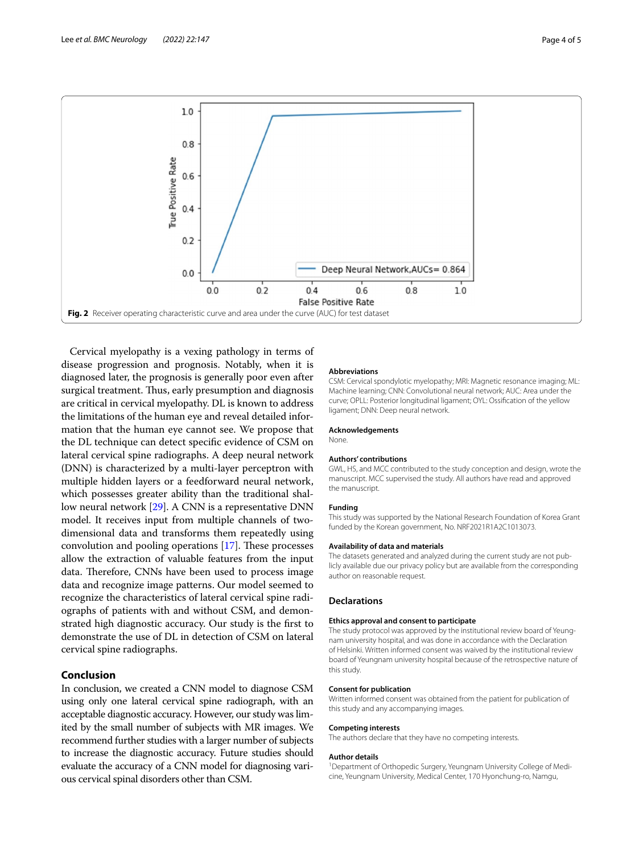

<span id="page-3-0"></span>Cervical myelopathy is a vexing pathology in terms of disease progression and prognosis. Notably, when it is diagnosed later, the prognosis is generally poor even after surgical treatment. Thus, early presumption and diagnosis are critical in cervical myelopathy. DL is known to address the limitations of the human eye and reveal detailed information that the human eye cannot see. We propose that the DL technique can detect specifc evidence of CSM on lateral cervical spine radiographs. A deep neural network (DNN) is characterized by a multi-layer perceptron with multiple hidden layers or a feedforward neural network, which possesses greater ability than the traditional shallow neural network [\[29](#page-4-24)]. A CNN is a representative DNN model. It receives input from multiple channels of twodimensional data and transforms them repeatedly using convolution and pooling operations  $[17]$  $[17]$ . These processes allow the extraction of valuable features from the input data. Therefore, CNNs have been used to process image data and recognize image patterns. Our model seemed to recognize the characteristics of lateral cervical spine radiographs of patients with and without CSM, and demonstrated high diagnostic accuracy. Our study is the frst to demonstrate the use of DL in detection of CSM on lateral cervical spine radiographs.

# **Conclusion**

In conclusion, we created a CNN model to diagnose CSM using only one lateral cervical spine radiograph, with an acceptable diagnostic accuracy. However, our study was limited by the small number of subjects with MR images. We recommend further studies with a larger number of subjects to increase the diagnostic accuracy. Future studies should evaluate the accuracy of a CNN model for diagnosing various cervical spinal disorders other than CSM.

#### **Abbreviations**

CSM: Cervical spondylotic myelopathy; MRI: Magnetic resonance imaging; ML: Machine learning; CNN: Convolutional neural network; AUC: Area under the curve; OPLL: Posterior longitudinal ligament; OYL: Ossifcation of the yellow ligament; DNN: Deep neural network.

#### **Acknowledgements**

None.

## **Authors' contributions**

GWL, HS, and MCC contributed to the study conception and design, wrote the manuscript. MCC supervised the study. All authors have read and approved the manuscript.

#### **Funding**

This study was supported by the National Research Foundation of Korea Grant funded by the Korean government, No. NRF2021R1A2C1013073.

#### **Availability of data and materials**

The datasets generated and analyzed during the current study are not publicly available due our privacy policy but are available from the corresponding author on reasonable request.

## **Declarations**

#### **Ethics approval and consent to participate**

The study protocol was approved by the institutional review board of Yeungnam university hospital, and was done in accordance with the Declaration of Helsinki. Written informed consent was waived by the institutional review board of Yeungnam university hospital because of the retrospective nature of this study.

#### **Consent for publication**

Written informed consent was obtained from the patient for publication of this study and any accompanying images.

#### **Competing interests**

The authors declare that they have no competing interests.

#### **Author details**

<sup>1</sup> Department of Orthopedic Surgery, Yeungnam University College of Medicine, Yeungnam University, Medical Center, 170 Hyonchung-ro, Namgu,